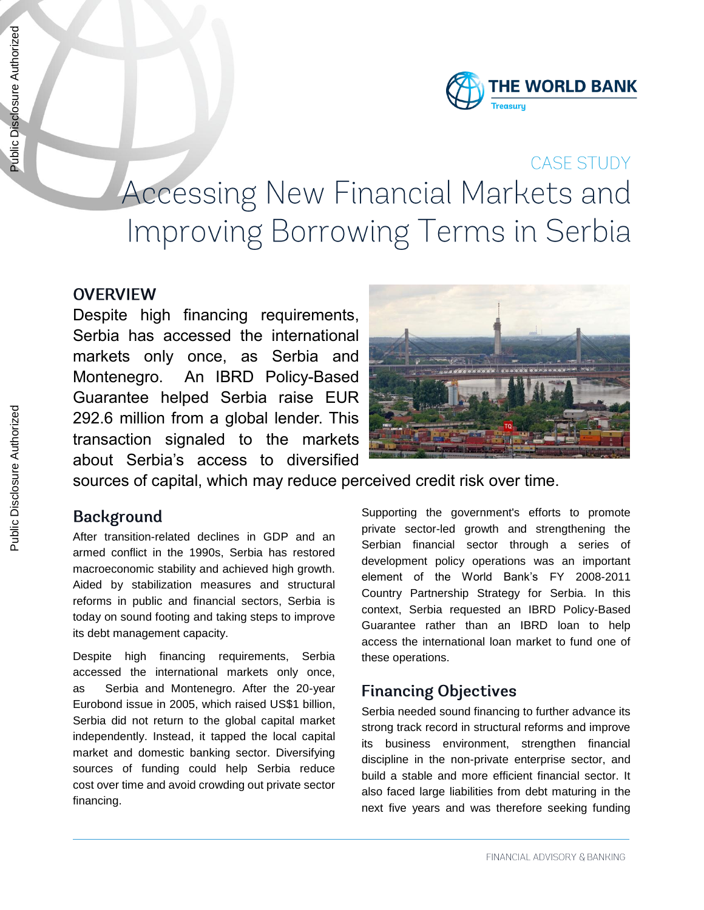

# CASE STUDY Accessing New Financial Markets and Improving Borrowing Terms in Serbia

#### **OVERVIEW**

Despite high financing requirements, Serbia has accessed the international markets only once, as Serbia and Montenegro. An IBRD Policy-Based Guarantee helped Serbia raise EUR 292.6 million from a global lender. This transaction signaled to the markets about Serbia's access to diversified



sources of capital, which may reduce perceived credit risk over time.

#### **Background**

After transition-related declines in GDP and an armed conflict in the 1990s, Serbia has restored macroeconomic stability and achieved high growth. Aided by stabilization measures and structural reforms in public and financial sectors, Serbia is today on sound footing and taking steps to improve its debt management capacity.

Despite high financing requirements, Serbia accessed the international markets only once, as Serbia and Montenegro. After the 20-year Eurobond issue in 2005, which raised US\$1 billion, Serbia did not return to the global capital market independently. Instead, it tapped the local capital market and domestic banking sector. Diversifying sources of funding could help Serbia reduce cost over time and avoid crowding out private sector financing.

Supporting the government's efforts to promote private sector-led growth and strengthening the Serbian financial sector through a series of development policy operations was an important element of the World Bank's FY 2008-2011 Country Partnership Strategy for Serbia. In this context, Serbia requested an IBRD Policy-Based Guarantee rather than an IBRD loan to help access the international loan market to fund one of these operations.

## **Financing Objectives**

Serbia needed sound financing to further advance its strong track record in structural reforms and improve its business environment, strengthen financial discipline in the non-private enterprise sector, and build a stable and more efficient financial sector. It also faced large liabilities from debt maturing in the next five years and was therefore seeking funding